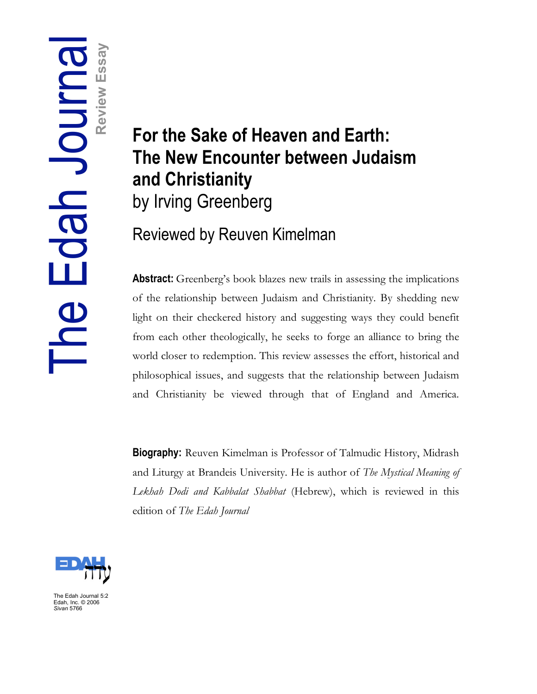# **The New Encounter between Judaism and Christianity**  by Irving Greenberg

## Reviewed by Reuven Kimelman

The New Encounter between Judai<br> **The New Encounter between Judai**<br>
and Christianity<br>
by Irving Greenberg<br>
Reviewed by Reuven Kimelman<br>
Abstract: Greenberg's book blazes new trails in assessing the<br>
of the relationship bet **Abstract:** Greenberg's book blazes new trails in assessing the implications of the relationship between Judaism and Christianity. By shedding new light on their checkered history and suggesting ways they could benefit from each other theologically, he seeks to forge an alliance to bring the world closer to redemption. This review assesses the effort, historical and philosophical issues, and suggests that the relationship between Judaism and Christianity be viewed through that of England and America.

> **Biography:** Reuven Kimelman is Professor of Talmudic History, Midrash and Liturgy at Brandeis University. He is author of *The Mystical Meaning of Lekhah Dodi and Kabbalat Shabbat* (Hebrew), which is reviewed in this edition of *The Edah Journal*



The Edah Journal 5:2 Edah, Inc. © 2006 *Sivan* 5766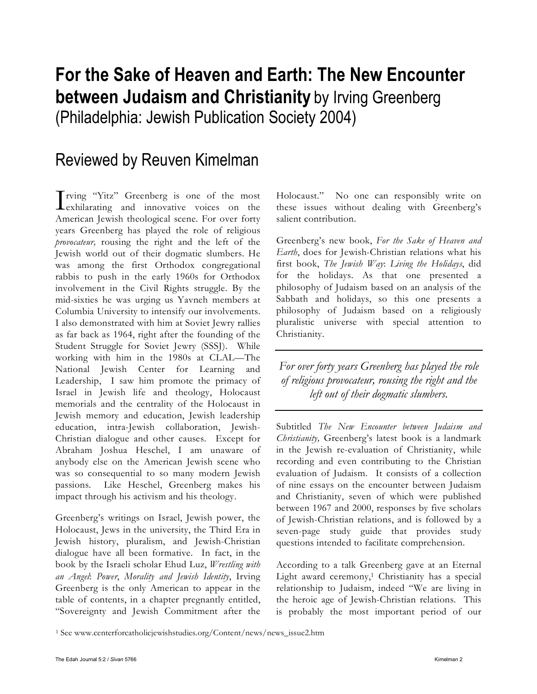# **For the Sake of Heaven and Earth: The New Encounter between Judaism and Christianity** by Irving Greenberg (Philadelphia: Jewish Publication Society 2004)

### Reviewed by Reuven Kimelman

rving "Yitz" Greenberg is one of the most I rving "Yitz" Greenberg is one of the most<br>exhilarating and innovative voices on the American Jewish theological scene. For over forty years Greenberg has played the role of religious *provocateur,* rousing the right and the left of the Jewish world out of their dogmatic slumbers. He was among the first Orthodox congregational rabbis to push in the early 1960s for Orthodox involvement in the Civil Rights struggle. By the mid-sixties he was urging us Yavneh members at Columbia University to intensify our involvements. I also demonstrated with him at Soviet Jewry rallies as far back as 1964, right after the founding of the Student Struggle for Soviet Jewry (SSSJ). While working with him in the 1980s at CLAL—The National Jewish Center for Learning and Leadership, I saw him promote the primacy of Israel in Jewish life and theology, Holocaust memorials and the centrality of the Holocaust in Jewish memory and education, Jewish leadership education, intra-Jewish collaboration, Jewish-Christian dialogue and other causes. Except for Abraham Joshua Heschel, I am unaware of anybody else on the American Jewish scene who was so consequential to so many modern Jewish passions. Like Heschel, Greenberg makes his impact through his activism and his theology.

Greenberg's writings on Israel, Jewish power, the Holocaust, Jews in the university, the Third Era in Jewish history, pluralism, and Jewish-Christian dialogue have all been formative. In fact, in the book by the Israeli scholar Ehud Luz, *Wrestling with an Angel*: *Power*, *Morality and Jewish Identity*, Irving Greenberg is the only American to appear in the table of contents, in a chapter pregnantly entitled, "Sovereignty and Jewish Commitment after the

Holocaust." No one can responsibly write on these issues without dealing with Greenberg's salient contribution.

Greenberg's new book, *For the Sake of Heaven and Earth*, does for Jewish-Christian relations what his first book, *The Jewish Way*: *Living the Holidays*, did for the holidays. As that one presented a philosophy of Judaism based on an analysis of the Sabbath and holidays, so this one presents a philosophy of Judaism based on a religiously pluralistic universe with special attention to Christianity.

*For over forty years Greenberg has played the role of religious provocateur, rousing the right and the left out of their dogmatic slumbers.* 

Subtitled *The New Encounter between Judaism and Christianity,* Greenberg's latest book is a landmark in the Jewish re-evaluation of Christianity, while recording and even contributing to the Christian evaluation of Judaism. It consists of a collection of nine essays on the encounter between Judaism and Christianity, seven of which were published between 1967 and 2000, responses by five scholars of Jewish-Christian relations, and is followed by a seven-page study guide that provides study questions intended to facilitate comprehension.

According to a talk Greenberg gave at an Eternal Light award ceremony,<sup>1</sup> Christianity has a special relationship to Judaism, indeed "We are living in the heroic age of Jewish-Christian relations. This is probably the most important period of our

<sup>1</sup> See www.centerforcatholicjewishstudies.org/Content/news/news\_issue2.htm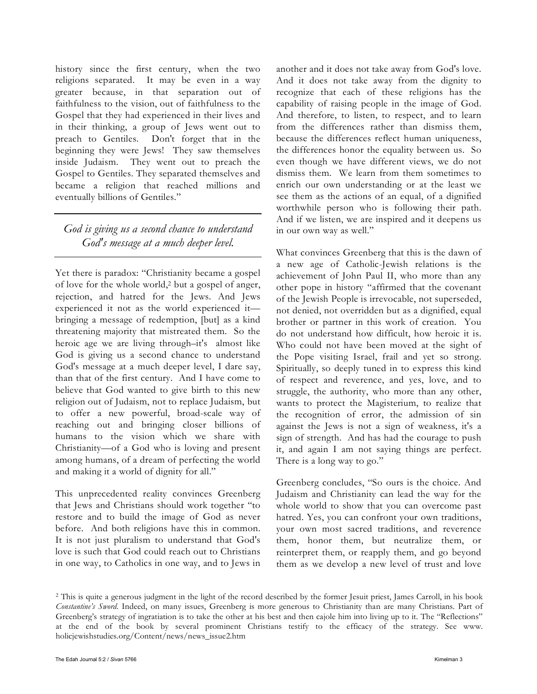history since the first century, when the two religions separated. It may be even in a way greater because, in that separation out of faithfulness to the vision, out of faithfulness to the Gospel that they had experienced in their lives and in their thinking, a group of Jews went out to preach to Gentiles. Don't forget that in the beginning they were Jews! They saw themselves inside Judaism. They went out to preach the Gospel to Gentiles. They separated themselves and became a religion that reached millions and eventually billions of Gentiles."

#### *God is giving us a second chance to understand God's message at a much deeper level.*

Yet there is paradox: "Christianity became a gospel of love for the whole world,2 but a gospel of anger, rejection, and hatred for the Jews. And Jews experienced it not as the world experienced it bringing a message of redemption, [but] as a kind threatening majority that mistreated them. So the heroic age we are living through–it's almost like God is giving us a second chance to understand God's message at a much deeper level, I dare say, than that of the first century. And I have come to believe that God wanted to give birth to this new religion out of Judaism, not to replace Judaism, but to offer a new powerful, broad-scale way of reaching out and bringing closer billions of humans to the vision which we share with Christianity—of a God who is loving and present among humans, of a dream of perfecting the world and making it a world of dignity for all."

This unprecedented reality convinces Greenberg that Jews and Christians should work together "to restore and to build the image of God as never before. And both religions have this in common. It is not just pluralism to understand that God's love is such that God could reach out to Christians in one way, to Catholics in one way, and to Jews in

another and it does not take away from God's love. And it does not take away from the dignity to recognize that each of these religions has the capability of raising people in the image of God. And therefore, to listen, to respect, and to learn from the differences rather than dismiss them, because the differences reflect human uniqueness, the differences honor the equality between us. So even though we have different views, we do not dismiss them. We learn from them sometimes to enrich our own understanding or at the least we see them as the actions of an equal, of a dignified worthwhile person who is following their path. And if we listen, we are inspired and it deepens us in our own way as well."

What convinces Greenberg that this is the dawn of a new age of Catholic-Jewish relations is the achievement of John Paul II, who more than any other pope in history "affirmed that the covenant of the Jewish People is irrevocable, not superseded, not denied, not overridden but as a dignified, equal brother or partner in this work of creation. You do not understand how difficult, how heroic it is. Who could not have been moved at the sight of the Pope visiting Israel, frail and yet so strong. Spiritually, so deeply tuned in to express this kind of respect and reverence, and yes, love, and to struggle, the authority, who more than any other, wants to protect the Magisterium, to realize that the recognition of error, the admission of sin against the Jews is not a sign of weakness, it's a sign of strength. And has had the courage to push it, and again I am not saying things are perfect. There is a long way to go."

Greenberg concludes, "So ours is the choice. And Judaism and Christianity can lead the way for the whole world to show that you can overcome past hatred. Yes, you can confront your own traditions, your own most sacred traditions, and reverence them, honor them, but neutralize them, or reinterpret them, or reapply them, and go beyond them as we develop a new level of trust and love

<sup>2</sup> This is quite a generous judgment in the light of the record described by the former Jesuit priest, James Carroll, in his book *Constantine's Sword*. Indeed, on many issues, Greenberg is more generous to Christianity than are many Christians. Part of Greenberg's strategy of ingratiation is to take the other at his best and then cajole him into living up to it. The "Reflections" at the end of the book by several prominent Christians testify to the efficacy of the strategy. See www. holicjewishstudies.org/Content/news/news\_issue2.htm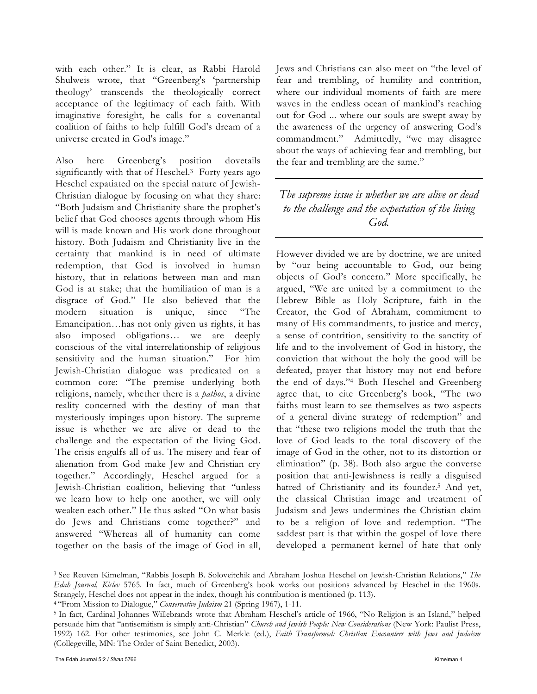with each other." It is clear, as Rabbi Harold Shulweis wrote, that "Greenberg's 'partnership theology' transcends the theologically correct acceptance of the legitimacy of each faith. With imaginative foresight, he calls for a covenantal coalition of faiths to help fulfill God's dream of a universe created in God's image."

Also here Greenberg's position dovetails significantly with that of Heschel.<sup>3</sup> Forty years ago Heschel expatiated on the special nature of Jewish-Christian dialogue by focusing on what they share: "Both Judaism and Christianity share the prophet's belief that God chooses agents through whom His will is made known and His work done throughout history. Both Judaism and Christianity live in the certainty that mankind is in need of ultimate redemption, that God is involved in human history, that in relations between man and man God is at stake; that the humiliation of man is a disgrace of God." He also believed that the modern situation is unique, since "The Emancipation…has not only given us rights, it has also imposed obligations… we are deeply conscious of the vital interrelationship of religious sensitivity and the human situation." For him Jewish-Christian dialogue was predicated on a common core: "The premise underlying both religions, namely, whether there is a *pathos*, a divine reality concerned with the destiny of man that mysteriously impinges upon history. The supreme issue is whether we are alive or dead to the challenge and the expectation of the living God. The crisis engulfs all of us. The misery and fear of alienation from God make Jew and Christian cry together." Accordingly, Heschel argued for a Jewish-Christian coalition, believing that "unless we learn how to help one another, we will only weaken each other." He thus asked "On what basis do Jews and Christians come together?" and answered "Whereas all of humanity can come together on the basis of the image of God in all,

Jews and Christians can also meet on "the level of fear and trembling, of humility and contrition, where our individual moments of faith are mere waves in the endless ocean of mankind's reaching out for God ... where our souls are swept away by the awareness of the urgency of answering God's commandment." Admittedly, "we may disagree about the ways of achieving fear and trembling, but the fear and trembling are the same."

*The supreme issue is whether we are alive or dead to the challenge and the expectation of the living God.* 

However divided we are by doctrine, we are united by "our being accountable to God, our being objects of God's concern." More specifically, he argued, "We are united by a commitment to the Hebrew Bible as Holy Scripture, faith in the Creator, the God of Abraham, commitment to many of His commandments, to justice and mercy, a sense of contrition, sensitivity to the sanctity of life and to the involvement of God in history, the conviction that without the holy the good will be defeated, prayer that history may not end before the end of days."4 Both Heschel and Greenberg agree that, to cite Greenberg's book, "The two faiths must learn to see themselves as two aspects of a general divine strategy of redemption" and that "these two religions model the truth that the love of God leads to the total discovery of the image of God in the other, not to its distortion or elimination" (p. 38). Both also argue the converse position that anti-Jewishness is really a disguised hatred of Christianity and its founder.<sup>5</sup> And yet, the classical Christian image and treatment of Judaism and Jews undermines the Christian claim to be a religion of love and redemption. "The saddest part is that within the gospel of love there developed a permanent kernel of hate that only

<sup>3</sup> See Reuven Kimelman, "Rabbis Joseph B. Soloveitchik and Abraham Joshua Heschel on Jewish-Christian Relations," *The Edah Journal, Kislev* 5765*.* In fact, much of Greenberg's book works out positions advanced by Heschel in the 1960s. Strangely, Heschel does not appear in the index, though his contribution is mentioned (p. 113).

<sup>&</sup>lt;sup>4</sup> "From Mission to Dialogue," *Conservative Judaism* 21 (Spring 1967), 1-11.<br><sup>5</sup> In fact, Cardinal Johannes Willebrands wrote that Abraham Heschel's article of 1966, "No Religion is an Island," helped persuade him that "antisemitism is simply anti-Christian" *Church and Jewish People: New Considerations* (New York: Paulist Press, 1992) 162. For other testimonies, see John C. Merkle (ed.), *Faith Transformed: Christian Encounters with Jews and Judaism* (Collegeville, MN: The Order of Saint Benedict, 2003).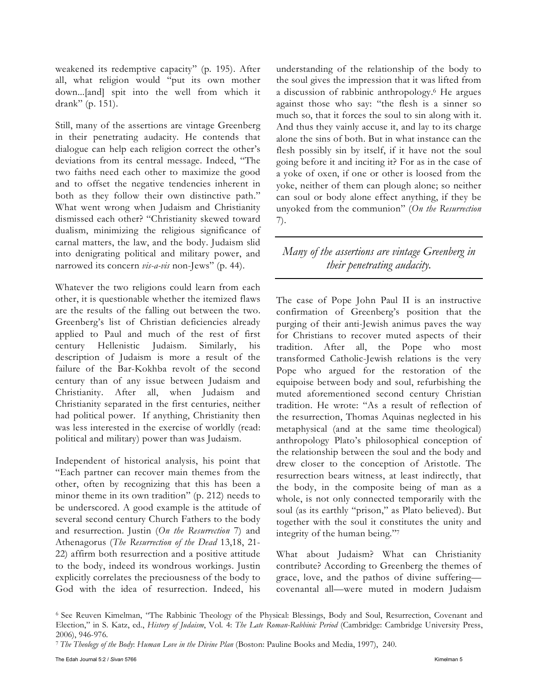weakened its redemptive capacity" (p. 195). After all, what religion would "put its own mother down...[and] spit into the well from which it drank" (p. 151).

Still, many of the assertions are vintage Greenberg in their penetrating audacity. He contends that dialogue can help each religion correct the other's deviations from its central message. Indeed, "The two faiths need each other to maximize the good and to offset the negative tendencies inherent in both as they follow their own distinctive path." What went wrong when Judaism and Christianity dismissed each other? "Christianity skewed toward dualism, minimizing the religious significance of carnal matters, the law, and the body. Judaism slid into denigrating political and military power, and narrowed its concern *vis-a-vis* non-Jews" (p. 44).

Whatever the two religions could learn from each other, it is questionable whether the itemized flaws are the results of the falling out between the two. Greenberg's list of Christian deficiencies already applied to Paul and much of the rest of first century Hellenistic Judaism. Similarly, his description of Judaism is more a result of the failure of the Bar-Kokhba revolt of the second century than of any issue between Judaism and Christianity. After all, when Judaism and Christianity separated in the first centuries, neither had political power. If anything, Christianity then was less interested in the exercise of worldly (read: political and military) power than was Judaism.

Independent of historical analysis, his point that "Each partner can recover main themes from the other, often by recognizing that this has been a minor theme in its own tradition" (p. 212) needs to be underscored. A good example is the attitude of several second century Church Fathers to the body and resurrection. Justin (*On the Resurrection* 7) and Athenagorus (*The Resurrection of the Dead* 13,18, 21- 22) affirm both resurrection and a positive attitude to the body, indeed its wondrous workings. Justin explicitly correlates the preciousness of the body to God with the idea of resurrection. Indeed, his

understanding of the relationship of the body to the soul gives the impression that it was lifted from a discussion of rabbinic anthropology.6 He argues against those who say: "the flesh is a sinner so much so, that it forces the soul to sin along with it. And thus they vainly accuse it, and lay to its charge alone the sins of both. But in what instance can the flesh possibly sin by itself, if it have not the soul going before it and inciting it? For as in the case of a yoke of oxen, if one or other is loosed from the yoke, neither of them can plough alone; so neither can soul or body alone effect anything, if they be unyoked from the communion" (*On the Resurrection* 7).

*Many of the assertions are vintage Greenberg in their penetrating audacity.* 

The case of Pope John Paul II is an instructive confirmation of Greenberg's position that the purging of their anti-Jewish animus paves the way for Christians to recover muted aspects of their tradition. After all, the Pope who most transformed Catholic-Jewish relations is the very Pope who argued for the restoration of the equipoise between body and soul, refurbishing the muted aforementioned second century Christian tradition. He wrote: "As a result of reflection of the resurrection, Thomas Aquinas neglected in his metaphysical (and at the same time theological) anthropology Plato's philosophical conception of the relationship between the soul and the body and drew closer to the conception of Aristotle. The resurrection bears witness, at least indirectly, that the body, in the composite being of man as a whole, is not only connected temporarily with the soul (as its earthly "prison," as Plato believed). But together with the soul it constitutes the unity and integrity of the human being."7

What about Judaism? What can Christianity contribute? According to Greenberg the themes of grace, love, and the pathos of divine suffering covenantal all—were muted in modern Judaism

<sup>6</sup> See Reuven Kimelman, "The Rabbinic Theology of the Physical: Blessings, Body and Soul, Resurrection, Covenant and Election," in S*.* Katz, ed., *History of Judaism*, Vol. 4: *The Late Roman-Rabbinic Period* (Cambridge: Cambridge University Press, 2006), 946-976.

<sup>7</sup>*The Theology of the Body*: *Human Love in the Divine Plan* (Boston: Pauline Books and Media, 1997), 240.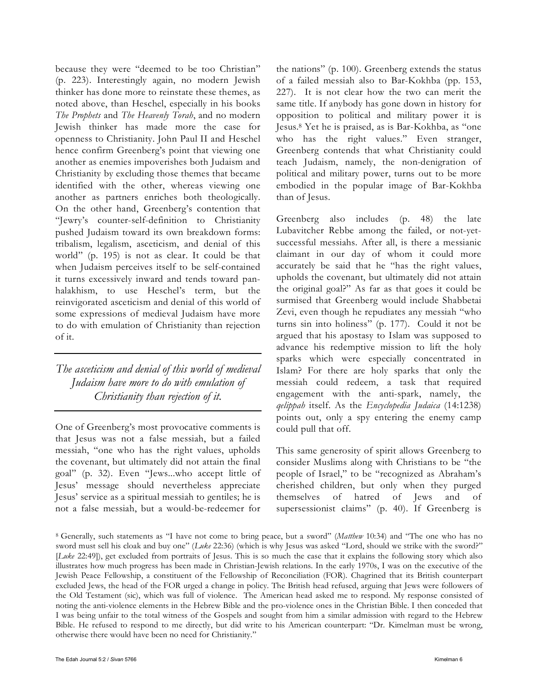because they were "deemed to be too Christian" (p. 223). Interestingly again, no modern Jewish thinker has done more to reinstate these themes, as noted above, than Heschel, especially in his books *The Prophets* and *The Heavenly Torah*, and no modern Jewish thinker has made more the case for openness to Christianity. John Paul II and Heschel hence confirm Greenberg's point that viewing one another as enemies impoverishes both Judaism and Christianity by excluding those themes that became identified with the other, whereas viewing one another as partners enriches both theologically. On the other hand, Greenberg's contention that "Jewry's counter-self-definition to Christianity pushed Judaism toward its own breakdown forms: tribalism, legalism, asceticism, and denial of this world" (p. 195) is not as clear. It could be that when Judaism perceives itself to be self-contained it turns excessively inward and tends toward panhalakhism, to use Heschel's term, but the reinvigorated asceticism and denial of this world of some expressions of medieval Judaism have more to do with emulation of Christianity than rejection of it.

*The asceticism and denial of this world of medieval Judaism have more to do with emulation of Christianity than rejection of it.* 

One of Greenberg's most provocative comments is that Jesus was not a false messiah, but a failed messiah, "one who has the right values, upholds the covenant, but ultimately did not attain the final goal" (p. 32). Even "Jews...who accept little of Jesus' message should nevertheless appreciate Jesus' service as a spiritual messiah to gentiles; he is not a false messiah, but a would-be-redeemer for

the nations" (p. 100). Greenberg extends the status of a failed messiah also to Bar-Kokhba (pp. 153, 227). It is not clear how the two can merit the same title. If anybody has gone down in history for opposition to political and military power it is Jesus.8 Yet he is praised, as is Bar-Kokhba, as "one who has the right values." Even stranger, Greenberg contends that what Christianity could teach Judaism, namely, the non-denigration of political and military power, turns out to be more embodied in the popular image of Bar-Kokhba than of Jesus.

Greenberg also includes (p. 48) the late Lubavitcher Rebbe among the failed, or not-yetsuccessful messiahs. After all, is there a messianic claimant in our day of whom it could more accurately be said that he "has the right values, upholds the covenant, but ultimately did not attain the original goal?" As far as that goes it could be surmised that Greenberg would include Shabbetai Zevi, even though he repudiates any messiah "who turns sin into holiness" (p. 177). Could it not be argued that his apostasy to Islam was supposed to advance his redemptive mission to lift the holy sparks which were especially concentrated in Islam? For there are holy sparks that only the messiah could redeem, a task that required engagement with the anti-spark, namely, the *qelippah* itself. As the *Encyclopedia Judaica* (14:1238) points out, only a spy entering the enemy camp could pull that off.

This same generosity of spirit allows Greenberg to consider Muslims along with Christians to be "the people of Israel," to be "recognized as Abraham's cherished children, but only when they purged themselves of hatred of Jews and of supersessionist claims" (p. 40). If Greenberg is

8 Generally, such statements as "I have not come to bring peace, but a sword" (*Matthew* 10:34) and "The one who has no sword must sell his cloak and buy one" (*Luke* 22:36) (which is why Jesus was asked "Lord, should we strike with the sword?" [*Luke* 22:49]), get excluded from portraits of Jesus. This is so much the case that it explains the following story which also illustrates how much progress has been made in Christian-Jewish relations. In the early 1970s, I was on the executive of the Jewish Peace Fellowship, a constituent of the Fellowship of Reconciliation (FOR). Chagrined that its British counterpart excluded Jews, the head of the FOR urged a change in policy. The British head refused, arguing that Jews were followers of the Old Testament (sic), which was full of violence. The American head asked me to respond. My response consisted of noting the anti-violence elements in the Hebrew Bible and the pro-violence ones in the Christian Bible. I then conceded that I was being unfair to the total witness of the Gospels and sought from him a similar admission with regard to the Hebrew Bible. He refused to respond to me directly, but did write to his American counterpart: "Dr. Kimelman must be wrong, otherwise there would have been no need for Christianity."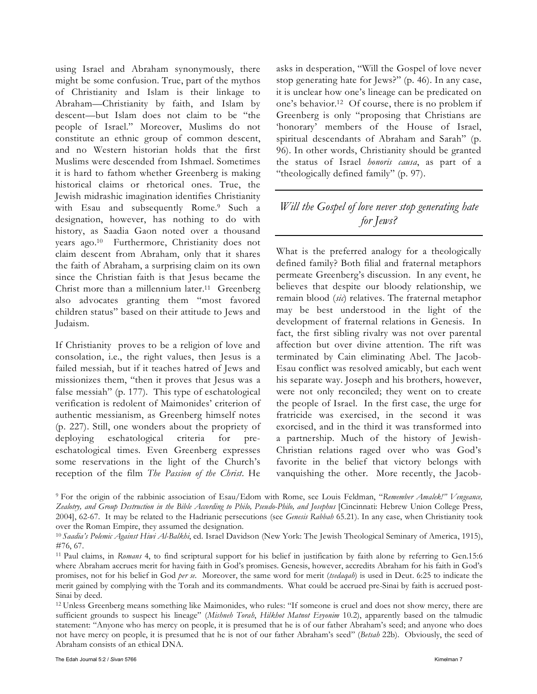using Israel and Abraham synonymously, there might be some confusion. True, part of the mythos of Christianity and Islam is their linkage to Abraham—Christianity by faith, and Islam by descent—but Islam does not claim to be "the people of Israel." Moreover, Muslims do not constitute an ethnic group of common descent, and no Western historian holds that the first Muslims were descended from Ishmael. Sometimes it is hard to fathom whether Greenberg is making historical claims or rhetorical ones. True, the Jewish midrashic imagination identifies Christianity with Esau and subsequently Rome.<sup>9</sup> Such a designation, however, has nothing to do with history, as Saadia Gaon noted over a thousand years ago.10 Furthermore, Christianity does not claim descent from Abraham, only that it shares the faith of Abraham, a surprising claim on its own since the Christian faith is that Jesus became the Christ more than a millennium later.<sup>11</sup> Greenberg also advocates granting them "most favored children status" based on their attitude to Jews and Judaism.

If Christianity proves to be a religion of love and consolation, i.e., the right values, then Jesus is a failed messiah, but if it teaches hatred of Jews and missionizes them, "then it proves that Jesus was a false messiah" (p. 177). This type of eschatological verification is redolent of Maimonides' criterion of authentic messianism, as Greenberg himself notes (p. 227). Still, one wonders about the propriety of deploying eschatological criteria for preeschatological times. Even Greenberg expresses some reservations in the light of the Church's reception of the film *The Passion of the Christ*. He

asks in desperation, "Will the Gospel of love never stop generating hate for Jews?" (p. 46). In any case, it is unclear how one's lineage can be predicated on one's behavior.12 Of course, there is no problem if Greenberg is only "proposing that Christians are 'honorary' members of the House of Israel, spiritual descendants of Abraham and Sarah" (p. 96). In other words, Christianity should be granted the status of Israel *honoris causa*, as part of a "theologically defined family" (p. 97).

#### *Will the Gospel of love never stop generating hate for Jews?*

What is the preferred analogy for a theologically defined family? Both filial and fraternal metaphors permeate Greenberg's discussion. In any event, he believes that despite our bloody relationship, we remain blood (*sic*) relatives. The fraternal metaphor may be best understood in the light of the development of fraternal relations in Genesis. In fact, the first sibling rivalry was not over parental affection but over divine attention. The rift was terminated by Cain eliminating Abel. The Jacob-Esau conflict was resolved amicably, but each went his separate way. Joseph and his brothers, however, were not only reconciled; they went on to create the people of Israel. In the first case, the urge for fratricide was exercised, in the second it was exorcised, and in the third it was transformed into a partnership. Much of the history of Jewish-Christian relations raged over who was God's favorite in the belief that victory belongs with vanquishing the other. More recently, the Jacob-

<sup>9</sup> For the origin of the rabbinic association of Esau/Edom with Rome, see Louis Feldman, "*Remember Amalek!" Vengeance, Zealotry, and Group Destruction in the Bible According to Philo, Pseudo-Philo, and Josephus* [Cincinnati: Hebrew Union College Press, 2004], 62-67. It may be related to the Hadrianic persecutions (see *Genesis Rabbah* 65.21). In any case, when Christianity took over the Roman Empire, they assumed the designation.

<sup>10</sup>*Saadia's Polemic Against Hiwi Al-Balkhi*, ed. Israel Davidson (New York: The Jewish Theological Seminary of America, 1915), #76, 67.

<sup>11</sup> Paul claims, in *Romans* 4, to find scriptural support for his belief in justification by faith alone by referring to Gen.15:6 where Abraham accrues merit for having faith in God's promises. Genesis, however, accredits Abraham for his faith in God's promises, not for his belief in God *per se*. Moreover, the same word for merit (*tsedaqah*) is used in Deut. 6:25 to indicate the merit gained by complying with the Torah and its commandments. What could be accrued pre-Sinai by faith is accrued post-Sinai by deed.

<sup>12</sup> Unless Greenberg means something like Maimonides, who rules: "If someone is cruel and does not show mercy, there are sufficient grounds to suspect his lineage" (*Mishneh Torah*, *Hilkhot Matnot Evyonim* 10.2), apparently based on the talmudic statement: "Anyone who has mercy on people, it is presumed that he is of our father Abraham's seed; and anyone who does not have mercy on people, it is presumed that he is not of our father Abraham's seed" (*Betsah* 22b). Obviously, the seed of Abraham consists of an ethical DNA.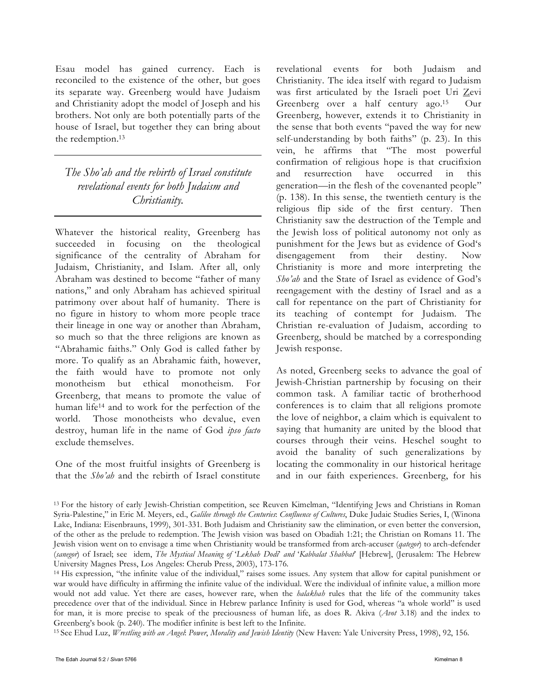Esau model has gained currency. Each is reconciled to the existence of the other, but goes its separate way. Greenberg would have Judaism and Christianity adopt the model of Joseph and his brothers. Not only are both potentially parts of the house of Israel, but together they can bring about the redemption.13

#### *The Sho'ah and the rebirth of Israel constitute revelational events for both Judaism and Christianity.*

Whatever the historical reality, Greenberg has succeeded in focusing on the theological significance of the centrality of Abraham for Judaism, Christianity, and Islam. After all, only Abraham was destined to become "father of many nations," and only Abraham has achieved spiritual patrimony over about half of humanity. There is no figure in history to whom more people trace their lineage in one way or another than Abraham, so much so that the three religions are known as "Abrahamic faiths." Only God is called father by more. To qualify as an Abrahamic faith, however, the faith would have to promote not only monotheism but ethical monotheism. For Greenberg, that means to promote the value of human life14 and to work for the perfection of the world. Those monotheists who devalue, even destroy, human life in the name of God *ipso facto* exclude themselves.

One of the most fruitful insights of Greenberg is that the *Sho'ah* and the rebirth of Israel constitute revelational events for both Judaism and Christianity. The idea itself with regard to Judaism was first articulated by the Israeli poet Uri Zevi Greenberg over a half century ago.15 Our Greenberg, however, extends it to Christianity in the sense that both events "paved the way for new self-understanding by both faiths" (p. 23). In this vein, he affirms that "The most powerful confirmation of religious hope is that crucifixion and resurrection have occurred in this generation—in the flesh of the covenanted people" (p. 138). In this sense, the twentieth century is the religious flip side of the first century. Then Christianity saw the destruction of the Temple and the Jewish loss of political autonomy not only as punishment for the Jews but as evidence of God's disengagement from their destiny. Now Christianity is more and more interpreting the *Sho'ah* and the State of Israel as evidence of God's reengagement with the destiny of Israel and as a call for repentance on the part of Christianity for its teaching of contempt for Judaism. The Christian re-evaluation of Judaism, according to Greenberg, should be matched by a corresponding Jewish response.

As noted, Greenberg seeks to advance the goal of Jewish-Christian partnership by focusing on their common task. A familiar tactic of brotherhood conferences is to claim that all religions promote the love of neighbor, a claim which is equivalent to saying that humanity are united by the blood that courses through their veins. Heschel sought to avoid the banality of such generalizations by locating the commonality in our historical heritage and in our faith experiences. Greenberg, for his

14 His expression, "the infinite value of the individual," raises some issues. Any system that allow for capital punishment or war would have difficulty in affirming the infinite value of the individual. Were the individual of infinite value, a million more would not add value. Yet there are cases, however rare, when the *halakhah* rules that the life of the community takes precedence over that of the individual. Since in Hebrew parlance Infinity is used for God, whereas "a whole world" is used for man, it is more precise to speak of the preciousness of human life, as does R. Akiva (*Avot* 3.18) and the index to Greenberg's book (p. 240). The modifier infinite is best left to the Infinite.

15 See Ehud Luz, *Wrestling with an Angel*: *Power*, *Morality and Jewish Identity* (New Haven: Yale University Press, 1998), 92, 156.

<sup>13</sup> For the history of early Jewish-Christian competition, see Reuven Kimelman, "Identifying Jews and Christians in Roman Syria-Palestine," in Eric M. Meyers, ed., *Galilee through the Centuries*: *Confluence of Cultures*, Duke Judaic Studies Series, I, (Winona Lake, Indiana: Eisenbrauns, 1999), 301-331. Both Judaism and Christianity saw the elimination, or even better the conversion, of the other as the prelude to redemption. The Jewish vision was based on Obadiah 1:21; the Christian on Romans 11. The Jewish vision went on to envisage a time when Christianity would be transformed from arch-accuser (*qategor*) to arch-defender (*sanegor*) of Israel; see idem, *The Mystical Meaning of* '*Lekhah Dodi*' *and* '*Kabbalat Shabbat*' [Hebrew], (Jerusalem: The Hebrew University Magnes Press, Los Angeles: Cherub Press, 2003), 173-176.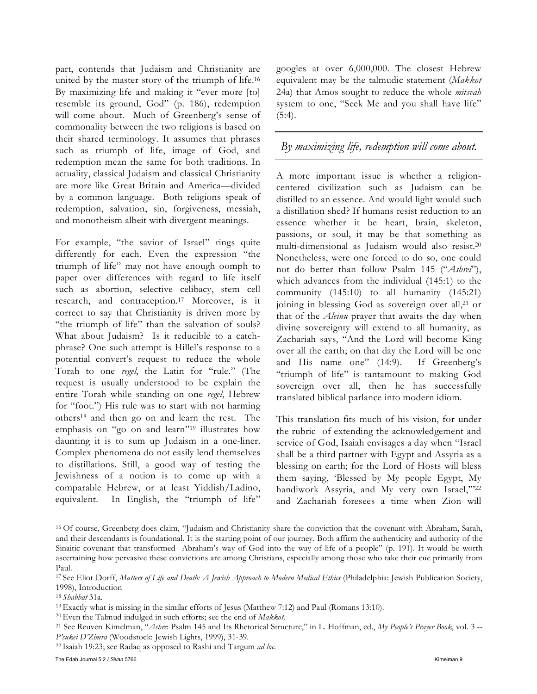part, contends that Judaism and Christianity are united by the master story of the triumph of life.16 By maximizing life and making it "ever more [to] resemble its ground, God" (p. 186), redemption will come about. Much of Greenberg's sense of commonality between the two religions is based on their shared terminology. It assumes that phrases such as triumph of life, image of God, and redemption mean the same for both traditions. In actuality, classical Judaism and classical Christianity are more like Great Britain and America—divided by a common language. Both religions speak of redemption, salvation, sin, forgiveness, messiah, and monotheism albeit with divergent meanings.

For example, "the savior of Israel" rings quite differently for each. Even the expression "the triumph of life" may not have enough oomph to paper over differences with regard to life itself such as abortion, selective celibacy, stem cell research, and contraception.17 Moreover, is it correct to say that Christianity is driven more by "the triumph of life" than the salvation of souls? What about Judaism? Is it reducible to a catchphrase? One such attempt is Hillel's response to a potential convert's request to reduce the whole Torah to one *regel*, the Latin for "rule." (The request is usually understood to be explain the entire Torah while standing on one *regel*, Hebrew for "foot.") His rule was to start with not harming others18 and then go on and learn the rest. The emphasis on "go on and learn"19 illustrates how daunting it is to sum up Judaism in a one-liner. Complex phenomena do not easily lend themselves to distillations. Still, a good way of testing the Jewishness of a notion is to come up with a comparable Hebrew, or at least Yiddish/Ladino, equivalent. In English, the "triumph of life"

googles at over 6,000,000. The closest Hebrew equivalent may be the talmudic statement (*Makkot* 24a) that Amos sought to reduce the whole *mitsvah*  system to one, "Seek Me and you shall have life"  $(5:4)$ .

#### *By maximizing life, redemption will come about.*

A more important issue is whether a religioncentered civilization such as Judaism can be distilled to an essence. And would light would such a distillation shed? If humans resist reduction to an essence whether it be heart, brain, skeleton, passions, or soul, it may be that something as multi-dimensional as Judaism would also resist.20 Nonetheless, were one forced to do so, one could not do better than follow Psalm 145 ("*Ashrei*"), which advances from the individual (145:1) to the community (145:10) to all humanity (145:21) joining in blessing God as sovereign over all,21 or that of the *Aleinu* prayer that awaits the day when divine sovereignty will extend to all humanity, as Zachariah says, "And the Lord will become King over all the earth; on that day the Lord will be one and His name one" (14:9). If Greenberg's "triumph of life" is tantamount to making God sovereign over all, then he has successfully translated biblical parlance into modern idiom.

This translation fits much of his vision, for under the rubric of extending the acknowledgement and service of God, Isaiah envisages a day when "Israel shall be a third partner with Egypt and Assyria as a blessing on earth; for the Lord of Hosts will bless them saying, 'Blessed by My people Egypt, My handiwork Assyria, and My very own Israel,"22 and Zachariah foresees a time when Zion will

<sup>16</sup> Of course, Greenberg does claim, "Judaism and Christianity share the conviction that the covenant with Abraham, Sarah, and their descendants is foundational. It is the starting point of our journey. Both affirm the authenticity and authority of the Sinaitic covenant that transformed Abraham's way of God into the way of life of a people" (p. 191). It would be worth ascertaining how pervasive these convictions are among Christians, especially among those who take their cue primarily from Paul.

<sup>&</sup>lt;sup>17</sup> See Eliot Dorff, *Matters of Life and Death: A Jewish Approach to Modern Medical Ethics* (Philadelphia: Jewish Publication Society, 1998), Introduction

<sup>&</sup>lt;sup>18</sup> Shabbat 31a.<br><sup>19</sup> Exactly what is missing in the similar efforts of Jesus (Matthew 7:12) and Paul (Romans 13:10).

<sup>20</sup> Even the Talmud indulged in such efforts; see the end of *Makkot.*

<sup>21</sup> See Reuven Kimelman, "*Ashre*: Psalm 145 and Its Rhetorical Structure," in L. Hoffman, ed., *My People's Prayer Book*, vol. 3 -- *P'sukei D'Zimra* (Woodstock: Jewish Lights, 1999), 31-39. 22 Isaiah 19:23; see Radaq as opposed to Rashi and Targum *ad loc*.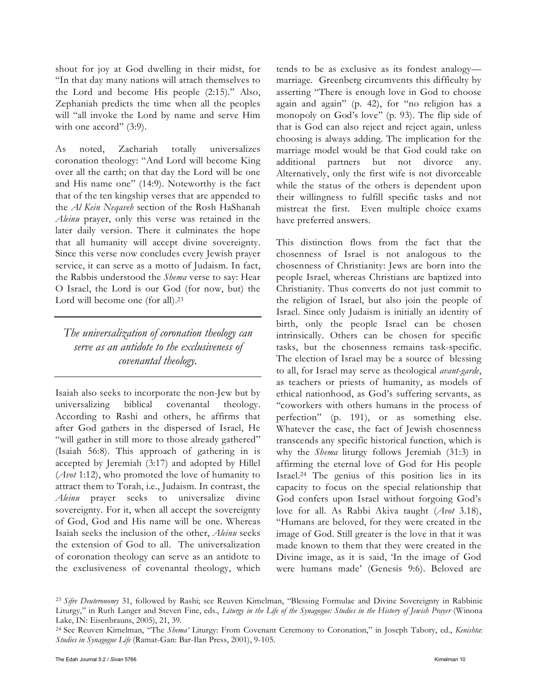shout for joy at God dwelling in their midst, for "In that day many nations will attach themselves to the Lord and become His people (2:15)." Also, Zephaniah predicts the time when all the peoples will "all invoke the Lord by name and serve Him with one accord" (3:9).

As noted, Zachariah totally universalizes coronation theology: "And Lord will become King over all the earth; on that day the Lord will be one and His name one" (14:9). Noteworthy is the fact that of the ten kingship verses that are appended to the *Al Kein Neqaveh* section of the Rosh HaShanah *Aleinu* prayer, only this verse was retained in the later daily version. There it culminates the hope that all humanity will accept divine sovereignty. Since this verse now concludes every Jewish prayer service, it can serve as a motto of Judaism. In fact, the Rabbis understood the *Shema* verse to say: Hear O Israel, the Lord is our God (for now, but) the Lord will become one (for all).<sup>23</sup>

*The universalization of coronation theology can serve as an antidote to the exclusiveness of covenantal theology.* 

Isaiah also seeks to incorporate the non-Jew but by universalizing biblical covenantal theology. According to Rashi and others, he affirms that after God gathers in the dispersed of Israel, He "will gather in still more to those already gathered" (Isaiah 56:8). This approach of gathering in is accepted by Jeremiah (3:17) and adopted by Hillel (*Avot* 1:12), who promoted the love of humanity to attract them to Torah, i.e., Judaism. In contrast, the *Aleinu* prayer seeks to universalize divine sovereignty. For it, when all accept the sovereignty of God, God and His name will be one. Whereas Isaiah seeks the inclusion of the other, *Aleinu* seeks the extension of God to all. The universalization of coronation theology can serve as an antidote to the exclusiveness of covenantal theology, which

tends to be as exclusive as its fondest analogy marriage. Greenberg circumvents this difficulty by asserting "There is enough love in God to choose again and again" (p. 42), for "no religion has a monopoly on God's love" (p. 93). The flip side of that is God can also reject and reject again, unless choosing is always adding. The implication for the marriage model would be that God could take on additional partners but not divorce any. Alternatively, only the first wife is not divorceable while the status of the others is dependent upon their willingness to fulfill specific tasks and not mistreat the first. Even multiple choice exams have preferred answers.

This distinction flows from the fact that the chosenness of Israel is not analogous to the chosenness of Christianity: Jews are born into the people Israel, whereas Christians are baptized into Christianity. Thus converts do not just commit to the religion of Israel, but also join the people of Israel. Since only Judaism is initially an identity of birth, only the people Israel can be chosen intrinsically. Others can be chosen for specific tasks, but the chosenness remains task-specific. The election of Israel may be a source of blessing to all, for Israel may serve as theological *avant-garde*, as teachers or priests of humanity, as models of ethical nationhood, as God's suffering servants, as "coworkers with others humans in the process of perfection" (p. 191), or as something else. Whatever the case, the fact of Jewish chosenness transcends any specific historical function, which is why the *Shema* liturgy follows Jeremiah (31:3) in affirming the eternal love of God for His people Israel.24 The genius of this position lies in its capacity to focus on the special relationship that God confers upon Israel without forgoing God's love for all. As Rabbi Akiva taught (*Avot* 3.18), "Humans are beloved, for they were created in the image of God. Still greater is the love in that it was made known to them that they were created in the Divine image, as it is said, 'In the image of God were humans made' (Genesis 9:6). Beloved are

<sup>23</sup>*Sifre Deuteronomy* 31, followed by Rashi; see Reuven Kimelman, "Blessing Formulae and Divine Sovereignty in Rabbinic Liturgy," in Ruth Langer and Steven Fine, eds., *Liturgy in the Life of the Synagogue: Studies in the History of Jewish Prayer* (Winona Lake, IN: Eisenbrauns, 2005), 21, 39.

<sup>24</sup> See Reuven Kimelman, "The *Shema'* Liturgy: From Covenant Ceremony to Coronation," in Joseph Tabory, ed., *Kenishta*: *Studies in Synagogue Life* (Ramat-Gan: Bar-Ilan Press, 2001), 9-105.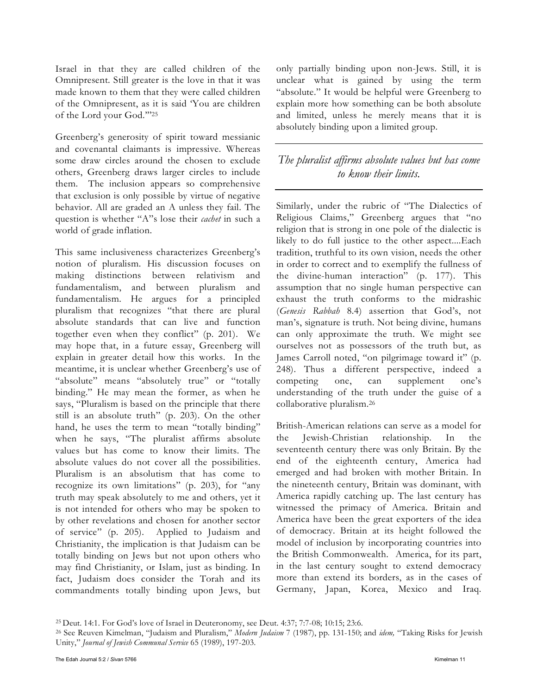Israel in that they are called children of the Omnipresent. Still greater is the love in that it was made known to them that they were called children of the Omnipresent, as it is said 'You are children of the Lord your God.'"25

Greenberg's generosity of spirit toward messianic and covenantal claimants is impressive. Whereas some draw circles around the chosen to exclude others, Greenberg draws larger circles to include them. The inclusion appears so comprehensive that exclusion is only possible by virtue of negative behavior. All are graded an A unless they fail. The question is whether "A"s lose their *cachet* in such a world of grade inflation.

This same inclusiveness characterizes Greenberg's notion of pluralism. His discussion focuses on making distinctions between relativism and fundamentalism, and between pluralism and fundamentalism. He argues for a principled pluralism that recognizes "that there are plural absolute standards that can live and function together even when they conflict" (p. 201). We may hope that, in a future essay, Greenberg will explain in greater detail how this works. In the meantime, it is unclear whether Greenberg's use of "absolute" means "absolutely true" or "totally binding." He may mean the former, as when he says, "Pluralism is based on the principle that there still is an absolute truth" (p. 203). On the other hand, he uses the term to mean "totally binding" when he says, "The pluralist affirms absolute values but has come to know their limits. The absolute values do not cover all the possibilities. Pluralism is an absolutism that has come to recognize its own limitations" (p. 203), for "any truth may speak absolutely to me and others, yet it is not intended for others who may be spoken to by other revelations and chosen for another sector of service" (p. 205). Applied to Judaism and Christianity, the implication is that Judaism can be totally binding on Jews but not upon others who may find Christianity, or Islam, just as binding. In fact, Judaism does consider the Torah and its commandments totally binding upon Jews, but

only partially binding upon non-Jews. Still, it is unclear what is gained by using the term "absolute." It would be helpful were Greenberg to explain more how something can be both absolute and limited, unless he merely means that it is absolutely binding upon a limited group.

*The pluralist affirms absolute values but has come to know their limits.* 

Similarly, under the rubric of "The Dialectics of Religious Claims," Greenberg argues that "no religion that is strong in one pole of the dialectic is likely to do full justice to the other aspect....Each tradition, truthful to its own vision, needs the other in order to correct and to exemplify the fullness of the divine-human interaction" (p. 177). This assumption that no single human perspective can exhaust the truth conforms to the midrashic (*Genesis Rabbah* 8.4) assertion that God's, not man's, signature is truth. Not being divine, humans can only approximate the truth. We might see ourselves not as possessors of the truth but, as James Carroll noted, "on pilgrimage toward it" (p. 248). Thus a different perspective, indeed a competing one, can supplement one's understanding of the truth under the guise of a collaborative pluralism.26

British-American relations can serve as a model for the Jewish-Christian relationship. In the seventeenth century there was only Britain. By the end of the eighteenth century, America had emerged and had broken with mother Britain. In the nineteenth century, Britain was dominant, with America rapidly catching up. The last century has witnessed the primacy of America. Britain and America have been the great exporters of the idea of democracy. Britain at its height followed the model of inclusion by incorporating countries into the British Commonwealth. America, for its part, in the last century sought to extend democracy more than extend its borders, as in the cases of Germany, Japan, Korea, Mexico and Iraq.

<sup>25</sup> Deut. 14:1. For God's love of Israel in Deuteronomy, see Deut. 4:37; 7:7-08; 10:15; 23:6.

<sup>26</sup> See Reuven Kimelman, "Judaism and Pluralism," *Modern Judaism* 7 (1987), pp. 131-150; and *idem,* "Taking Risks for Jewish Unity," *Journal of Jewish Communal Service* 65 (1989), 197-203.